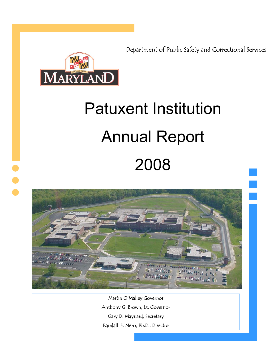Department of Public Safety and Correctional Services



j

# **Patuxent Institution Annual Report** 2008



Martin O'Malley Governor Anthony G. Brown, Lt. Governor Gary D. Maynard, Secretary Randall S. Nero, Ph.D., Director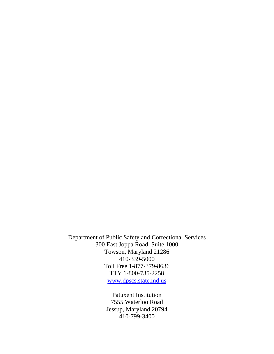Department of Public Safety and Correctional Services 300 East Joppa Road, Suite 1000 Towson, Maryland 21286 410-339-5000 Toll Free 1-877-379-8636 TTY 1-800-735-2258 www.dpscs.state.md.us

> Patuxent Institution 7555 Waterloo Road Jessup, Maryland 20794 410-799-3400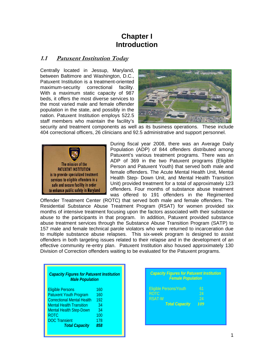# **Chapter I Introduction**

## **1.1 Patuxent Institution Today**

Centrally located in Jessup, Maryland, between Baltimore and Washington, D.C., Patuxent Institution is a treatment-oriented maximum-security correctional facility. With a maximum static capacity of 987 beds, it offers the most diverse services to the most varied male and female offender population in the state, and possibly in the nation. Patuxent Institution employs 522.5 staff members who maintain the facility's



security and treatment components as well as its business operations. These include 404 correctional officers, 26 clinicians and 92.5 administrative and support personnel.



During fiscal year 2008, there was an Average Daily Population (ADP) of 844 offenders distributed among Patuxent's various treatment programs. There was an ADP of 369 in the two Patuxent programs (Eligible Person and Patuxent Youth) that served both male and female offenders. The Acute Mental Health Unit, Mental Health Step- Down Unit, and Mental Health Transition Unit) provided treatment for a total of approximately 123 offenders. Four months of substance abuse treatment was offered to 191 offenders in the Regimented

Offender Treatment Center (ROTC) that served both male and female offenders. The Residential Substance Abuse Treatment Program (RSAT) for women provided six months of intensive treatment focusing upon the factors associated with their substance abuse to the participants in that program. In addition, Patuxent provided substance abuse treatment services through the Substance Abuse Transition Program (SATP) to 157 male and female technical parole violators who were returned to incarceration due to multiple substance abuse relapses. This six-week program is designed to assist offenders in both targeting issues related to their relapse and in the development of an effective community re-entry plan. Patuxent Institution also housed approximately 130 Division of Correction offenders waiting to be evaluated for the Patuxent programs.

| <b>Capacity Figures for Patuxent Institution</b><br><b>Male Population</b> |     |
|----------------------------------------------------------------------------|-----|
| <b>Eligible Persons</b>                                                    | 160 |
| <b>Patuxent Youth Program</b>                                              | 160 |
| <b>Correctional Mental Health</b>                                          | 192 |
| <b>Mental Health Transition</b>                                            | 34  |
| <b>Mental Health Step-Down</b>                                             | 34  |
| <b>ROTC</b>                                                                | 100 |
| <b>DOC Transient</b>                                                       | 178 |
| <b>Total Capacity</b>                                                      | 858 |
|                                                                            |     |

| <b>Capacity Figures for Patuxent Institution</b><br><b>Female Population</b> |     |  |  |  |  |  |  |
|------------------------------------------------------------------------------|-----|--|--|--|--|--|--|
| <b>Eligible Persons/Youth</b>                                                | 61  |  |  |  |  |  |  |
| <b>ROTC</b>                                                                  | 24  |  |  |  |  |  |  |
| <b>RSAT-W</b>                                                                | 24  |  |  |  |  |  |  |
| <b>Total Capacity</b>                                                        | 109 |  |  |  |  |  |  |
|                                                                              |     |  |  |  |  |  |  |
|                                                                              |     |  |  |  |  |  |  |
|                                                                              |     |  |  |  |  |  |  |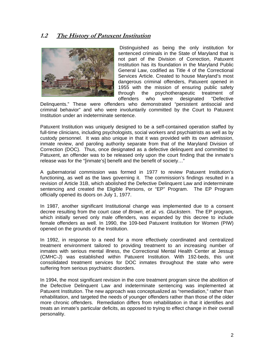## **1.2 The History of Patuxent Institution**



 Distinguished as being the only institution for sentenced criminals in the State of Maryland that is not part of the Division of Correction, Patuxent Institution has its foundation in the Maryland Public General Law, codified as Title 4 of the Correctional Services Article. Created to house Maryland's most dangerous criminal offenders, Patuxent opened in 1955 with the mission of ensuring public safety through the psychotherapeutic treatment of offenders who were designated "Defective

Delinquents." These were offenders who demonstrated "persistent antisocial and criminal behavior" and who were involuntarily committed by the Court to Patuxent Institution under an indeterminate sentence.

Patuxent Institution was uniquely designed to be a self-contained operation staffed by full-time clinicians, including psychologists, social workers and psychiatrists as well as by custody personnel. It was also unique in that it was provided with its own admission, inmate review, and paroling authority separate from that of the Maryland Division of Correction (DOC). Thus, once designated as a defective delinquent and committed to Patuxent, an offender was to be released only upon the court finding that the inmate's release was for the "[inmate's] benefit and the benefit of society…"

A gubernatorial commission was formed in 1977 to review Patuxent Institution's functioning, as well as the laws governing it. The commission's findings resulted in a revision of Article 31B, which abolished the Defective Delinquent Law and indeterminate sentencing and created the Eligible Persons, or "EP" Program. The EP Program officially opened its doors on July 1, 1977.

In 1987, another significant Institutional change was implemented due to a consent decree resulting from the court case of *Brown, et al. vs. Gluckstern*. The EP program, which initially served only male offenders, was expanded by this decree to include female offenders as well. In 1990, the 109-bed Patuxent Institution for Women (PIW) opened on the grounds of the Institution.

In 1992, in response to a need for a more effectively coordinated and centralized treatment environment tailored to providing treatment to an increasing number of inmates with serious mental illness, the Correctional Mental Health Center at Jessup (CMHC-J) was established within Patuxent Institution. With 192-beds, this unit consolidated treatment services for DOC inmates throughout the state who were suffering from serious psychiatric disorders.

In 1994, the most significant revision in the core treatment program since the abolition of the Defective Delinquent Law and indeterminate sentencing was implemented at Patuxent Institution. The new approach was conceptualized as "remediation," rather than rehabilitation, and targeted the needs of younger offenders rather than those of the older more chronic offenders. Remediation differs from rehabilitation in that it identifies and treats an inmate's particular deficits, as opposed to trying to effect change in their overall personality.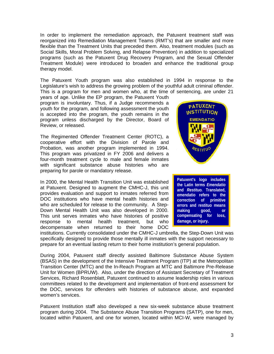In order to implement the remediation approach, the Patuxent treatment staff was reorganized into Remediation Management Teams (RMT's) that are smaller and more flexible than the Treatment Units that preceded them. Also, treatment modules (such as Social Skills, Moral Problem Solving, and Relapse Prevention) in addition to specialized programs (such as the Patuxent Drug Recovery Program, and the Sexual Offender Treatment Module) were introduced to broaden and enhance the traditional group therapy model.

The Patuxent Youth program was also established in 1994 in response to the Legislature's wish to address the growing problem of the youthful adult criminal offender. This is a program for men and women who, at the time of sentencing, are under 21

years of age. Unlike the EP program, the Patuxent Youth program is involuntary. Thus, if a Judge recommends a youth for the program, and following assessment the youth is accepted into the program, the youth remains in the program unless discharged by the Director, Board of Review, or released.

The Regimented Offender Treatment Center (ROTC), a cooperative effort with the Division of Parole and Probation, was another program implemented in 1994. This program was privatized in FY 2006 and delivers a four-month treatment cycle to male and female inmates with significant substance abuse histories who are preparing for parole or mandatory release.

In 2000, the Mental Health Transition Unit was established at Patuxent. Designed to augment the CMHC-J, this unit provides evaluation and support to inmates referred from DOC institutions who have mental health histories and who are scheduled for release to the community. A Step-Down Mental Health Unit was also developed in 2000. This unit serves inmates who have histories of positive response to mental health treatment, but who decompensate when returned to their home DOC



**Patuxent's logo includes the Latin terms** *Emendatio*  **and** *Restituo.* **Translated, emendatio refers to the correction of primitive errors and restituo means making good, or compensating for loss, damage, or injury.** 

institutions. Currently consolidated under the CMHC-J umbrella, the Step-Down Unit was specifically designed to provide those mentally ill inmates with the support necessary to prepare for an eventual lasting return to their home institution's general population.

During 2004, Patuxent staff directly assisted Baltimore Substance Abuse System (BSAS) in the development of the Intensive Treatment Program (ITP) at the Metropolitan Transition Center (MTC) and the In-Reach Program at MTC and Baltimore Pre-Release Unit for Women (BPRUW). Also, under the direction of Assistant Secretary of Treatment Services, Richard Rosenblatt, Patuxent continued to assume leadership roles in various committees related to the development and implementation of front-end assessment for the DOC, services for offenders with histories of substance abuse, and expanded women's services.

Patuxent Institution staff also developed a new six-week substance abuse treatment program during 2004. The Substance Abuse Transition Programs (SATP), one for men, located within Patuxent, and one for women, located within MCI-W, were managed by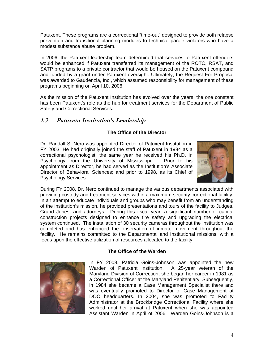Patuxent. These programs are a correctional "time-out" designed to provide both relapse prevention and transitional planning modules to technical parole violators who have a modest substance abuse problem.

In 2006, the Patuxent leadership team determined that services to Patuxent offenders would be enhanced if Patuxent transferred its management of the ROTC, RSAT, and SATP programs to a private contractor that would be housed on the Patuxent compound and funded by a grant under Patuxent oversight. Ultimately, the Request For Proposal was awarded to Gaudenzia, Inc., which assumed responsibility for management of these programs beginning on April 10, 2006.

As the mission of the Patuxent Institution has evolved over the years, the one constant has been Patuxent's role as the hub for treatment services for the Department of Public Safety and Correctional Services.

## **1.3 Patuxent Institution's Leadership**

### **The Office of the Director**

Dr. Randall S. Nero was appointed Director of Patuxent Institution in FY 2003. He had originally joined the staff of Patuxent in 1984 as a correctional psychologist, the same year he received his Ph.D. in Psychology from the University of Mississippi. Prior to his appointment as Director, he had served as the Institution's Associate Director of Behavioral Sciences; and prior to 1998, as its Chief of Psychology Services.



During FY 2008, Dr. Nero continued to manage the various departments associated with providing custody and treatment services within a maximum security correctional facility. In an attempt to educate individuals and groups who may benefit from an understanding of the institution's mission, he provided presentations and tours of the facility to Judges, Grand Juries, and attorneys. During this fiscal year, a significant number of capital construction projects designed to enhance fire safety and upgrading the electrical system continued. The installation of 30 security cameras throughout the Institution was completed and has enhanced the observation of inmate movement throughout the facility. He remains committed to the Departmental and Institutional missions, with a focus upon the effective utilization of resources allocated to the facility.

#### **The Office of the Warden**



In FY 2008, Patricia Goins-Johnson was appointed the new Warden of Patuxent Institution. A 25-year veteran of the Maryland Division of Correction, she began her career in 1981 as a Correctional Officer at the Maryland Penitentiary. Subsequently, in 1984 she became a Case Management Specialist there and was eventually promoted to Director of Case Management at DOC headquarters. In 2004, she was promoted to Facility Administrator at the Brockbridge Correctional Facility where she worked until her arrival at Patuxent when she was appointed Assistant Warden in April of 2006. Warden Goins-Johnson is a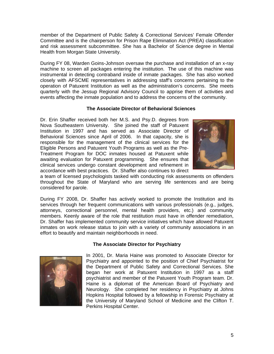member of the Department of Public Safety & Correctional Services' Female Offender Committee and is the chairperson for Prison Rape Elimination Act (PREA) classification and risk assessment subcommittee. She has a Bachelor of Science degree in Mental Health from Morgan State University.

During FY 08, Warden Goins-Johnson oversaw the purchase and installation of an x-ray machine to screen all packages entering the institution. The use of this machine was instrumental in detecting contraband inside of inmate packages. She has also worked closely with AFSCME representatives in addressing staff's concerns pertaining to the operation of Patuxent Institution as well as the administration's concerns. She meets quarterly with the Jessup Regional Advisory Council to apprise them of activities and events affecting the inmate population and to address the concerns of the community.

#### **The Associate Director of Behavioral Sciences**

Dr. Erin Shaffer received both her M.S. and Psy.D. degrees from Nova Southeastern University. She joined the staff of Patuxent Institution in 1997 and has served as Associate Director of Behavioral Sciences since April of 2006. In that capacity, she is responsible for the management of the clinical services for the Eligible Persons and Patuxent Youth Programs as well as the Pre-Treatment Program for DOC inmates housed at Patuxent while awaiting evaluation for Patuxent programming. She ensures that clinical services undergo constant development and refinement in accordance with best practices. Dr. Shaffer also continues to direct



a team of licensed psychologists tasked with conducting risk assessments on offenders throughout the State of Maryland who are serving life sentences and are being considered for parole.

During FY 2008, Dr. Shaffer has actively worked to promote the Institution and its services through her frequent communications with various professionals (e.g., judges, attorneys, correctional personnel, mental health providers, etc.) and community members. Keenly aware of the role that restitution must have in offender remediation, Dr. Shaffer has implemented community service initiatives which have allowed Patuxent inmates on work release status to join with a variety of community associations in an effort to beautify and maintain neighborhoods in need.

#### **The Associate Director for Psychiatry**



In 2001, Dr. Maria Haine was promoted to Associate Director for Psychiatry and appointed to the position of Chief Psychiatrist for the Department of Public Safety and Correctional Services. She began her work at Patuxent Institution in 1997 as a staff psychiatrist and member of the Patuxent Youth Program team. Dr. Haine is a diplomat of the American Board of Psychiatry and Neurology. She completed her residency in Psychiatry at Johns Hopkins Hospital followed by a fellowship in Forensic Psychiatry at the University of Maryland School of Medicine and the Clifton T. Perkins Hospital Center.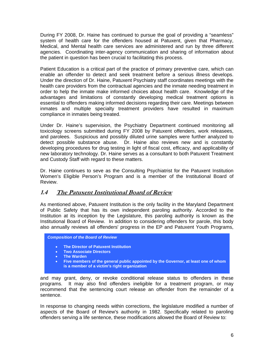During FY 2008, Dr. Haine has continued to pursue the goal of providing a "seamless" system of health care for the offenders housed at Patuxent, given that Pharmacy, Medical, and Mental health care services are administered and run by three different agencies. Coordinating inter-agency communication and sharing of information about the patient in question has been crucial to facilitating this process.

Patient Education is a critical part of the practice of primary preventive care, which can enable an offender to detect and seek treatment before a serious illness develops. Under the direction of Dr. Haine, Patuxent Psychiatry staff coordinates meetings with the health care providers from the contractual agencies and the inmate needing treatment in order to help the inmate make informed choices about health care. Knowledge of the advantages and limitations of constantly developing medical treatment options is essential to offenders making informed decisions regarding their care. Meetings between inmates and multiple specialty treatment providers have resulted in maximum compliance in inmates being treated.

Under Dr. Haine's supervision, the Psychiatry Department continued monitoring all toxicology screens submitted during FY 2008 by Patuxent offenders, work releasees, and parolees. Suspicious and possibly diluted urine samples were further analyzed to detect possible substance abuse. Dr. Haine also reviews new and is constantly developing procedures for drug testing in light of fiscal cost, efficacy, and applicability of new laboratory technology. Dr. Haine serves as a consultant to both Patuxent Treatment and Custody Staff with regard to these matters.

Dr. Haine continues to seve as the Consulting Psychiatrist for the Patuxent Institution Women's Eligible Person's Program and is a member of the Institutional Board of Review.

## **1.4 The Patuxent Institutional Board of Review**

As mentioned above, Patuxent Institution is the only facility in the Maryland Department of Public Safety that has its own independent paroling authority. Accorded to the Institution at its inception by the Legislature, this paroling authority is known as the Institutional Board of Review. In addition to considering offenders for parole, this body also annually reviews all offenders' progress in the EP and Patuxent Youth Programs,

*Composition of the Board of Review* 

- **The Director of Patuxent Institution**
- **Two Associate Directors**
- **The Warden**
- **Five members of the general public appointed by the Governor, at least one of whom is a member of a victim's right organization**

and may grant, deny, or revoke conditional release status to offenders in these programs. It may also find offenders ineligible for a treatment program, or may recommend that the sentencing court release an offender from the remainder of a sentence.

In response to changing needs within corrections, the legislature modified a number of aspects of the Board of Review's authority in 1982. Specifically related to paroling offenders serving a life sentence, these modifications allowed the Board of Review to: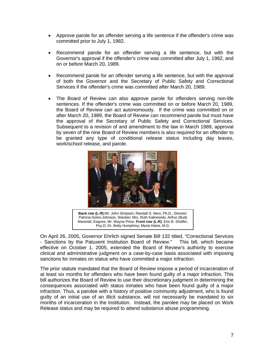- Approve parole for an offender serving a life sentence if the offender's crime was committed prior to July 1, 1982.
- Recommend parole for an offender serving a life sentence, but with the Governor's approval if the offender's crime was committed after July 1, 1982, and on or before March 20, 1989.
- Recommend parole for an offender serving a life sentence, but with the approval of both the Governor and the Secretary of Public Safety and Correctional Services if the offender's crime was committed after March 20, 1989.
- The Board of Review can also approve parole for offenders serving non-life sentences. If the offender's crime was committed on or before March 20, 1989, the Board of Review can act autonomously. If the crime was committed on or after March 20, 1989, the Board of Review can recommend parole but must have the approval of the Secretary of Public Safety and Correctional Services. Subsequent to a revision of and amendment to the law in March 1989, approval by seven of the nine Board of Review members is also required for an offender to be granted any type of conditional release status including day leaves, work/school release, and parole.



**Back row (L-R):**Mr. John Simpson; Randall S. Nero, Ph.D., Director; Patricia Goins-Johnson, Warden; Mrs. Ruth Kalinowski; Arthur (Bud) Marshall, Esquire; Mr. Wayne Price; **Front row (L-R)**: Erin B. Shaffer, Psy.D; Dr. Betty Humphrey; Maria Haine, M.D.

On April 26, 2005, Governor Ehrlich signed Senate Bill 132 titled, "Correctional Services - Sanctions by the Patuxent Institution Board of Review." This bill, which became effective on October 1, 2005, extended the Board of Review's authority to exercise clinical and administrative judgment on a case-by-case basis associated with imposing sanctions for inmates on status who have committed a major infraction.

The prior statute mandated that the Board of Review impose a period of incarceration of at least six months for offenders who have been found guilty of a major infraction. This bill authorizes the Board of Review to use their discretionary judgment in determining the consequences associated with status inmates who have been found guilty of a major infraction. Thus, a parolee with a history of positive community adjustment, who is found guilty of an initial use of an illicit substance, will not necessarily be mandated to six months of incarceration in the Institution. Instead, the parolee may be placed on Work Release status and may be required to attend substance abuse programming.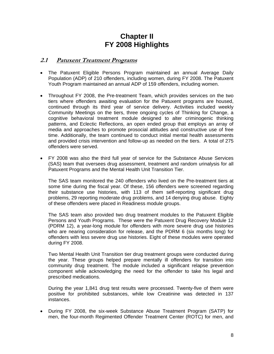# **Chapter II FY 2008 Highlights**

## **2.1 Patuxent Treatment Programs**

- The Patuxent Eligible Persons Program maintained an annual Average Daily Population (ADP) of 210 offenders, including women, during FY 2008. The Patuxent Youth Program maintained an annual ADP of 159 offenders, including women.
- Throughout FY 2008, the Pre-treatment Team, which provides services on the two tiers where offenders awaiting evaluation for the Patuxent programs are housed, continued through its third year of service delivery. Activities included weekly Community Meetings on the tiers, three ongoing cycles of Thinking for Change, a cognitive behavioral treatment module designed to alter criminogenic thinking patterns, and Eclectic Reflections, an open ended group that employs an array of media and approaches to promote prosocial attitudes and constructive use of free time. Additionally, the team continued to conduct initial mental health assessments and provided crisis intervention and follow-up as needed on the tiers. A total of 275 offenders were served.
- FY 2008 was also the third full year of service for the Substance Abuse Services (SAS) team that oversees drug assessment, treatment and random urinalysis for all Patuxent Programs and the Mental Health Unit Transition Tier.

The SAS team monitored the 240 offenders who lived on the Pre-treatment tiers at some time during the fiscal year. Of these, 156 offenders were screened regarding their substance use histories, with 113 of them self-reporting significant drug problems, 29 reporting moderate drug problems, and 14 denying drug abuse. Eighty of these offenders were placed in Readiness module groups.

The SAS team also provided two drug treatment modules to the Patuxent Eligible Persons and Youth Programs. These were the Patuxent Drug Recovery Module 12 (PDRM 12), a year-long module for offenders with more severe drug use histories who are nearing consideration for release, and the PDRM 6 (six months long) for offenders with less severe drug use histories. Eight of these modules were operated during FY 2008.

Two Mental Health Unit Transition tier drug treatment groups were conducted during the year. These groups helped prepare mentally ill offenders for transition into community drug treatment. The module included a significant relapse prevention component while acknowledging the need for the offender to take his legal and prescribed medications.

During the year 1,841 drug test results were processed. Twenty-five of them were positive for prohibited substances, while low Creatinine was detected in 137 instances.

• During FY 2008, the six-week Substance Abuse Treatment Program (SATP) for men, the four-month Regimented Offender Treatment Center (ROTC) for men, and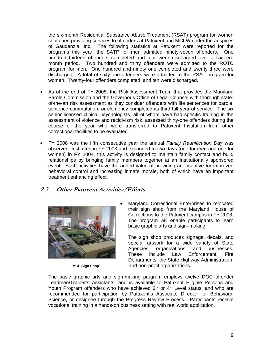the six-month Residential Substance Abuse Treatment (RSAT) program for women continued providing services to offenders at Patuxent and MCI-W under the auspices of Gaudenzia, Inc. The following statistics at Patuxent were reported for the programs this year: the SATP for men admitted ninety-seven offenders. One hundred thirteen offenders completed and four were discharged over a sixteenmonth period. Two hundred and thirty offenders were admitted to the ROTC program for men. One hundred and ninety one completed and twenty three were discharged. A total of sixty-one offenders were admitted to the RSAT program for women. Twenty-four offenders completed, and ten were discharged.

- As of the end of FY 2008, the Risk Assessment Team that provides the Maryland Parole Commission and the Governor's Office of Legal Counsel with thorough stateof-the-art risk assessment as they consider offenders with life sentences for parole, sentence commutation, or clemency completed its third full year of service. The six senior licensed clinical psychologists, all of whom have had specific training in the assessment of violence and recidivism risk, assessed thirty-one offenders during the course of the year who were transferred to Patuxent Institution from other correctional facilities to be evaluated.
- FY 2008 was the fifth consecutive year the annual *Family Reunification Day* was observed. Instituted in FY 2003 and expanded to two days (one for men and one for women) in FY 2004, this activity is designed to maintain family contact and build relationships by bringing family members together at an Institutionally sponsored event. Such activities have the added value of providing an incentive for improved behavioral control and increasing inmate morale, both of which have an important treatment enhancing effect.

## **2.2 Other Patuxent Activities/Efforts**



• Maryland Correctional Enterprises to relocated their sign shop from the Maryland House of Corrections to the Patuxent campus in FY 2008. The program will enable participants to learn basic graphic arts and sign–making.

 The sign shop produces signage, decals, and special artwork for a wide variety of State Agencies, organizations, and businesses. These include Law Enforcement, Fire Departments, the State Highway Administration, MCE Sign Shop and non-profit organizations.

The basic graphic arts and sign-making program employs twelve DOC offender Leadmen/Trainer's Assistants, and is available to Patuxent Eligible Persons and Youth Program offenders who have achieved  $3<sup>rd</sup>$  or  $4<sup>th</sup>$  Level status, and who are recommended for participation by Patuxent's Associate Director for Behavioral Science, or designee through the Progress Review Process. Participants receive vocational training in a hands-on business setting with real world application.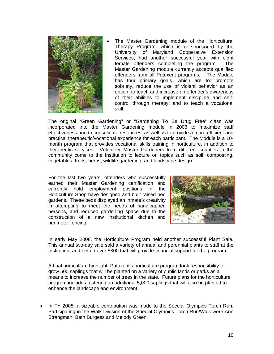

The Master Gardening module of the Horticultural Therapy Program, which is co-sponsored by the University of Maryland Cooperative Extension Services, had another successful year with eight female offenders completing the program. The Master Gardening module currently accepts qualified offenders from all Patuxent programs. The Module has four primary goals, which are to: promote sobriety, reduce the use of violent behavior as an option; to teach and increase an offender's awareness of their abilities to implement discipline and selfcontrol through therapy; and to teach a vocational skill.

The original "Green Gardening" or "Gardening To Be Drug Free" class was incorporated into the Master Gardening module in 2003 to maximize staff effectiveness and to consolidate resources, as well as to provide a more efficient and practical therapeutic/vocational experience for each participant. The Module is a 10 month program that provides vocational skills training in horticulture, in addition to therapeutic services. Volunteer Master Gardeners from different counties in the community come to the Institution to lecture on topics such as soil, composting, vegetables, fruits, herbs, wildlife gardening, and landscape design.

For the last two years, offenders who successfully earned their Master Gardening certification and currently hold employment positions in the Horticulture Shop have designed and built raised bed gardens. These beds displayed an inmate's creativity in attempting to meet the needs of handicapped persons, and reduced gardening space due to the construction of a new Institutional kitchen and perimeter fencing.



In early May 2008, the Horticulture Program held another successful Plant Sale. This annual two-day sale sold a variety of annual and perennial plants to staff at the Institution, and netted over \$800 that will provide financial support for the program.

A final horticulture highlight, Patuxent's horticulture program took responsibility to grow 500 saplings that will be planted on a variety of public lands or parks as a means to increase the number of trees in the state. Future plans for the horticulture program includes fostering an additional 5,000 saplings that will also be planted to enhance the landscape and environment.

• In FY 2008, a sizeable contribution was made to the Special Olympics Torch Run. Participating in the Walk Division of the Special Olympics Torch Run/Walk were Ann Strangman, Beth Burgess and Melody Green.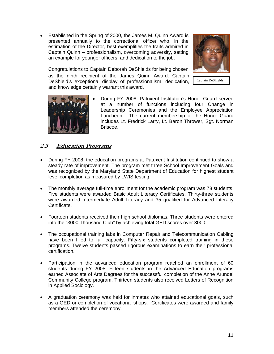• Established in the Spring of 2000, the James M. Quinn Award is presented annually to the correctional officer who, in the estimation of the Director, best exemplifies the traits admired in Captain Quinn – professionalism, overcoming adversity, setting an example for younger officers, and dedication to the job.

Congratulations to Captain Deborah DeShields for being chosen as the ninth recipient of the James Quinn Award. Captain DeShield's exceptional display of professionalism, dedication, and knowledge certainly warrant this award.



Captain DeShields



• During FY 2008, Patuxent Institution's Honor Guard served at a number of functions including four Change in Leadership Ceremonies and the Employee Appreciation Luncheon. The current membership of the Honor Guard includes Lt. Fredrick Larry, Lt. Baron Thrower, Sgt. Norman Briscoe.

## **2.3 Education Programs**

- During FY 2008, the education programs at Patuxent Institution continued to show a steady rate of improvement. The program met three School Improvement Goals and was recognized by the Maryland State Department of Education for highest student level completion as measured by LWIS testing.
- The monthly average full-time enrollment for the academic program was 78 students. Five students were awarded Basic Adult Literacy Certificates. Thirty-three students were awarded Intermediate Adult Literacy and 35 qualified for Advanced Literacy Certificate.
- Fourteen students received their high school diplomas. Three students were entered into the "3000 Thousand Club" by achieving total GED scores over 3000.
- The occupational training labs in Computer Repair and Telecommunication Cabling have been filled to full capacity. Fifty-six students completed training in these programs. Twelve students passed rigorous examinations to earn their professional certification.
- Participation in the advanced education program reached an enrollment of 60 students during FY 2008. Fifteen students in the Advanced Education programs earned Associate of Arts Degrees for the successful completion of the Anne Arundel Community College program. Thirteen students also received Letters of Recognition in Applied Sociology.
- A graduation ceremony was held for inmates who attained educational goals, such as a GED or completion of vocational shops. Certificates were awarded and family members attended the ceremony.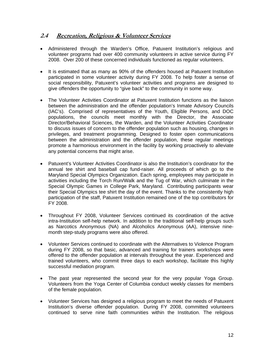## **2.4 Recreation, Religious & Volunteer Services**

- Administered through the Warden's Office, Patuxent Institution's religious and volunteer programs had over 400 community volunteers in active service during FY 2008. Over 200 of these concerned individuals functioned as regular volunteers.
- It is estimated that as many as 90% of the offenders housed at Patuxent Institution participated in some volunteer activity during FY 2008. To help foster a sense of social responsibility, Patuxent's volunteer activities and programs are designed to give offenders the opportunity to "give back" to the community in some way.
- The Volunteer Activities Coordinator at Patuxent Institution functions as the liaison between the administration and the offender population's Inmate Advisory Councils (IAC's). Comprised of representatives of the Youth, Eligible Persons, and DOC populations, the councils meet monthly with the Director, the Associate Director/Behavioral Sciences, the Warden, and the Volunteer Activities Coordinator to discuss issues of concern to the offender population such as housing, changes in privileges, and treatment programming. Designed to foster open communications between the administration and the offender population, these regular meetings promote a harmonious environment in the facility by working proactively to alleviate any potential concerns that might arise.
- Patuxent's Volunteer Activities Coordinator is also the Institution's coordinator for the annual tee shirt and baseball cap fund-raiser. All proceeds of which go to the Maryland Special Olympics Organization. Each spring, employees may participate in activities including the Torch Run/Walk and the Tug of War, which culminate in the Special Olympic Games in College Park, Maryland. Contributing participants wear their Special Olympics tee shirt the day of the event. Thanks to the consistently high participation of the staff, Patuxent Institution remained one of the top contributors for FY 2008.
- Throughout FY 2008, Volunteer Services continued its coordination of the active intra-Institution self-help network. In addition to the traditional self-help groups such as Narcotics Anonymous (NA) and Alcoholics Anonymous (AA), intensive ninemonth step-study programs were also offered.
- Volunteer Services continued to coordinate with the Alternatives to Violence Program during FY 2008, so that basic, advanced and training for trainers workshops were offered to the offender population at intervals throughout the year. Experienced and trained volunteers, who commit three days to each workshop, facilitate this highly successful mediation program.
- The past year represented the second year for the very popular Yoga Group. Volunteers from the Yoga Center of Columbia conduct weekly classes for members of the female population.
- Volunteer Services has designed a religious program to meet the needs of Patuxent Institution's diverse offender population. During FY 2008, committed volunteers continued to serve nine faith communities within the Institution. The religious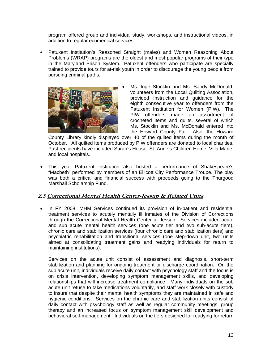program offered group and individual study, workshops, and instructional videos, in addition to regular ecumenical services.

• Patuxent Institution's Reasoned Straight (males) and Women Reasoning About Problems (WRAP) programs are the oldest and most popular programs of their type in the Maryland Prison System. Patuxent offenders who participate are specially trained to provide tours for at-risk youth in order to discourage the young people from pursuing criminal paths.



Ms. Inge Stocklin and Ms. Sandy McDonald, volunteers from the Local Quilting Association, provided instruction and guidance for the eighth consecutive year to offenders from the Patuxent Institution for Women (PIW). The PIW offenders made an assortment of crocheted items and quilts, several of which Ms. Stocklin and Ms. McDonald entered into the Howard County Fair. Also, the Howard

County Library kindly displayed over 40 of the quilted items during the month of October. All quilted items produced by PIW offenders are donated to local charities. Past recipients have included Sarah's House, St. Anne's Children Home, Villa Marie, and local hospitals.

• This year Patuxent Institution also hosted a performance of Shakespeare's "Macbeth" performed by members of an Ellicott City Performance Troupe. The play was both a critical and financial success with proceeds going to the Thurgood Marshall Scholarship Fund.

## **2.5 Correctional Mental Health Center-Jessup & Related Units**

• In FY 2008, MHM Services continued its provision of in-patient and residential treatment services to acutely mentally ill inmates of the Division of Corrections through the Correctional Mental Health Center at Jessup. Services included acute and sub acute mental health services (one acute tier and two sub-acute tiers), chronic care and stabilization services (four chronic care and stabilization tiers) and psychiatric rehabilitation and transitional services (one step-down unit, two units aimed at consolidating treatment gains and readying individuals for return to maintaining institutions).

Services on the acute unit consist of assessment and diagnosis, short-term stabilization and planning for ongoing treatment or discharge coordination. On the sub acute unit, individuals receive daily contact with psychology staff and the focus is on crisis intervention, developing symptom management skills, and developing relationships that will increase treatment compliance. Many individuals on the sub acute unit refuse to take medications voluntarily, and staff work closely with custody to insure that despite their mental health symptoms they are maintained in safe and hygienic conditions. Services on the chronic care and stabilization units consist of daily contact with psychology staff as well as regular community meetings, group therapy and an increased focus on symptom management skill development and behavioral self-management. Individuals on the tiers designed for readying for return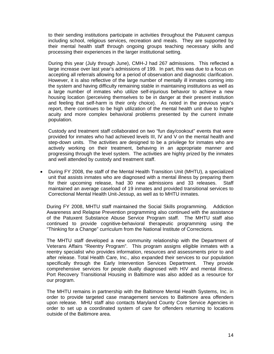to their sending institutions participate in activities throughout the Patuxent campus including school, religious services, recreation and meals. They are supported by their mental health staff through ongoing groups teaching necessary skills and processing their experiences in the larger institutional setting.

During this year (July through June), CMH-J had 267 admissions. This reflected a large increase over last year's admissions of 199. In part, this was due to a focus on accepting all referrals allowing for a period of observation and diagnostic clarification. However, it is also reflective of the large number of mentally ill inmates coming into the system and having difficulty remaining stable in maintaining institutions as well as a large number of inmates who utilize self-injurious behavior to achieve a new housing location (perceiving themselves to be in danger at their present institution and feeling that self-harm is their only choice). As noted in the previous year's report, there continues to be high utilization of the mental health unit due to higher acuity and more complex behavioral problems presented by the current inmate population.

Custody and treatment staff collaborated on two "fun day/cookout" events that were provided for inmates who had achieved levels III, IV and V on the mental health and step-down units. The activities are designed to be a privilege for inmates who are actively working on their treatment, behaving in an appropriate manner and progressing through the level system. The activities are highly prized by the inmates and well attended by custody and treatment staff.

• During FY 2008, the staff of the Mental Health Transition Unit (MHTU), a specialized unit that assists inmates who are diagnosed with a mental illness by preparing them for their upcoming release, had 30 new admissions and 33 releases. Staff maintained an average caseload of 19 inmates and provided transitional services to Correctional Mental Health Unit-Jessup, as well as to MHTU inmates.

During FY 2008, MHTU staff maintained the Social Skills programming. Addiction Awareness and Relapse Prevention programming also continued with the assistance of the Patuxent Substance Abuse Service Program staff. The MHTU staff also continued to provide cognitive-behavioral therapeutic programming using the "Thinking for a Change" curriculum from the National Institute of Corrections.

The MHTU staff developed a new community relationship with the Department of Veterans Affairs "Reentry Program". This program assigns eligible inmates with a reentry specialist who provides information, resources and assessments prior to and after release. Total Health Care, Inc., also expanded their services to our population specifically through the Early Intervention Services Department. They provide comprehensive services for people dually diagnosed with HIV and mental illness. Port Recovery Transitional Housing in Baltimore was also added as a resource for our program.

The MHTU remains in partnership with the Baltimore Mental Health Systems, Inc. in order to provide targeted case management services to Baltimore area offenders upon release. MHU staff also contacts Maryland County Core Service Agencies in order to set up a coordinated system of care for offenders returning to locations outside of the Baltimore area.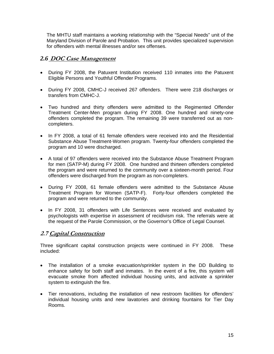The MHTU staff maintains a working relationship with the "Special Needs" unit of the Maryland Division of Parole and Probation. This unit provides specialized supervision for offenders with mental illnesses and/or sex offenses.

## *2.6* **DOC Case Management**

- During FY 2008, the Patuxent Institution received 110 inmates into the Patuxent Eligible Persons and Youthful Offender Programs.
- During FY 2008, CMHC-J received 267 offenders. There were 218 discharges or transfers from CMHC-J.
- Two hundred and thirty offenders were admitted to the Regimented Offender Treatment Center-Men program during FY 2008. One hundred and ninety-one offenders completed the program. The remaining 39 were transferred out as noncompleters.
- In FY 2008, a total of 61 female offenders were received into and the Residential Substance Abuse Treatment-Women program. Twenty-four offenders completed the program and 10 were discharged.
- A total of 97 offenders were received into the Substance Abuse Treatment Program for men (SATP-M) during FY 2008. One hundred and thirteen offenders completed the program and were returned to the community over a sixteen-month period. Four offenders were discharged from the program as non-completers.
- During FY 2008, 61 female offenders were admitted to the Substance Abuse Treatment Program for Women (SATP-F). Forty-four offenders completed the program and were returned to the community.
- In FY 2008, 31 offenders with Life Sentences were received and evaluated by psychologists with expertise in assessment of recidivism risk. The referrals were at the request of the Parole Commission, or the Governor's Office of Legal Counsel.

## **2.7 Capital Construction**

Three significant capital construction projects were continued in FY 2008. These included:

- The installation of a smoke evacuation/sprinkler system in the DD Building to enhance safety for both staff and inmates. In the event of a fire, this system will evacuate smoke from affected individual housing units, and activate a sprinkler system to extinguish the fire.
- Tier renovations, including the installation of new restroom facilities for offenders' individual housing units and new lavatories and drinking fountains for Tier Day Rooms.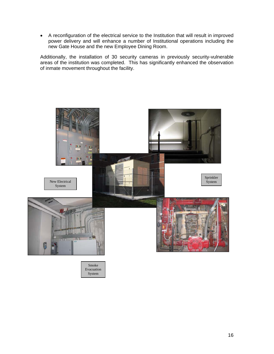• A reconfiguration of the electrical service to the Institution that will result in improved power delivery and will enhance a number of Institutional operations including the new Gate House and the new Employee Dining Room.

Additionally, the installation of 30 security cameras in previously security-vulnerable areas of the institution was completed. This has significantly enhanced the observation of inmate movement throughout the facility.

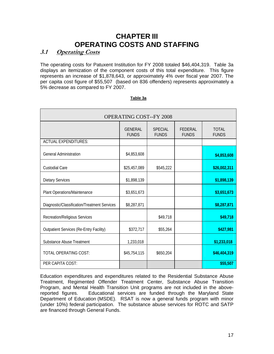# **CHAPTER III OPERATING COSTS AND STAFFING**

## **3.1 Operating Costs**

The operating costs for Patuxent Institution for FY 2008 totaled \$46,404,319. Table 3a displays an itemization of the component costs of this total expenditure. This figure represents an increase of \$1,878,643, or approximately 4% over fiscal year 2007. The per capita cost figure of \$55,507 (based on 836 offenders) represents approximately a 5% decrease as compared to FY 2007.

| <b>OPERATING COST--FY 2008</b>                 |                                |                                |                         |                              |  |  |
|------------------------------------------------|--------------------------------|--------------------------------|-------------------------|------------------------------|--|--|
|                                                | <b>GENERAL</b><br><b>FUNDS</b> | <b>SPECIAL</b><br><b>FUNDS</b> | FEDERAL<br><b>FUNDS</b> | <b>TOTAL</b><br><b>FUNDS</b> |  |  |
| <b>ACTUAL EXPENDITURES:</b>                    |                                |                                |                         |                              |  |  |
| <b>General Administration</b>                  | \$4,853,608                    |                                |                         | \$4,853,608                  |  |  |
| <b>Custodial Care</b>                          | \$25,457,089                   | \$545,222                      |                         | \$26,002,311                 |  |  |
| <b>Dietary Services</b>                        | \$1,898,139                    |                                |                         | \$1,898,139                  |  |  |
| Plant Operations/Maintenance                   | \$3,651,673                    |                                |                         | \$3,651,673                  |  |  |
| Diagnostic/Classification/Treatment Services   | \$8,287,871                    |                                |                         | \$8,287,871                  |  |  |
| <b>Recreation/Religious Services</b>           |                                | \$49,718                       |                         | \$49,718                     |  |  |
| <b>Outpatient Services (Re-Entry Facility)</b> | \$372,717                      | \$55,264                       |                         | \$427,981                    |  |  |
| <b>Substance Abuse Treatment</b>               | 1,233,018                      |                                |                         | \$1,233,018                  |  |  |
| TOTAL OPERATING COST:                          | \$45,754,115                   | \$650,204                      |                         | \$46,404,319                 |  |  |
| PER CAPITA COST:                               |                                |                                |                         | \$55,507                     |  |  |

#### **Table 3a**

Education expenditures and expenditures related to the Residential Substance Abuse Treatment, Regimented Offender Treatment Center, Substance Abuse Transition Program, and Mental Health Transition Unit programs are not included in the abovereported figures. Educational services are funded through the Maryland State Department of Education (MSDE). RSAT is now a general funds program with minor (under 10%) federal participation. The substance abuse services for ROTC and SATP are financed through General Funds.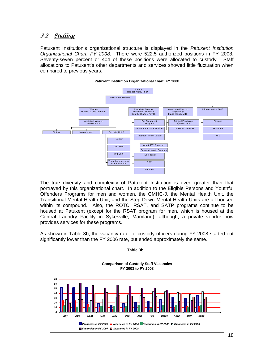## **3.2 Staffing**

Patuxent Institution's organizational structure is displayed in the *Patuxent Institution Organizational Chart: FY 2008*. There were 522.5 authorized positions in FY 2008. Seventy-seven percent or 404 of these positions were allocated to custody. Staff allocations to Patuxent's other departments and services showed little fluctuation when compared to previous years.



The true diversity and complexity of Patuxent Institution is even greater than that portrayed by this organizational chart. In addition to the Eligible Persons and Youthful Offenders Programs for men and women, the CMHC-J, the Mental Health Unit, the Transitional Mental Health Unit, and the Step-Down Mental Health Units are all housed within its compound. Also, the ROTC, RSAT, and SATP programs continue to be housed at Patuxent (except for the RSAT program for men, which is housed at the Central Laundry Facility in Sykesville, Maryland), although, a private vendor now provides services for these programs.

As shown in Table 3b, the vacancy rate for custody officers during FY 2008 started out significantly lower than the FY 2006 rate, but ended approximately the same.



**Table 3b**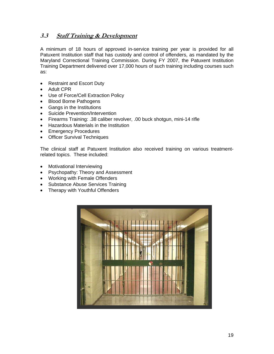## **3.3 Staff Training & Development**

A minimum of 18 hours of approved in-service training per year is provided for all Patuxent Institution staff that has custody and control of offenders, as mandated by the Maryland Correctional Training Commission. During FY 2007, the Patuxent Institution Training Department delivered over 17,000 hours of such training including courses such as:

- Restraint and Escort Duty
- Adult CPR
- Use of Force/Cell Extraction Policy
- Blood Borne Pathogens
- Gangs in the Institutions
- Suicide Prevention/Intervention
- Firearms Training: .38 caliber revolver, .00 buck shotgun, mini-14 rifle
- Hazardous Materials in the Institution
- Emergency Procedures
- Officer Survival Techniques

The clinical staff at Patuxent Institution also received training on various treatmentrelated topics. These included:

- Motivational Interviewing
- Psychopathy: Theory and Assessment
- Working with Female Offenders
- Substance Abuse Services Training
- Therapy with Youthful Offenders

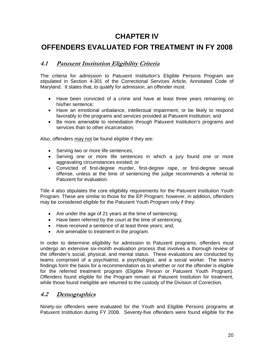# **CHAPTER IV**

# **OFFENDERS EVALUATED FOR TREATMENT IN FY 2008**

## **4.1 Patuxent Institution Eligibility Criteria**

The criteria for admission to Patuxent Institution's Eligible Persons Program are stipulated in Section 4-301 of the Correctional Services Article, Annotated Code of Maryland. It states that, to qualify for admission, an offender must:

- Have been convicted of a crime and have at least three years remaining on his/her sentence;
- Have an emotional unbalance, intellectual impairment, or be likely to respond favorably to the programs and services provided at Patuxent Institution; and
- Be more amenable to remediation through Patuxent Institution's programs and services than to other incarceration.

Also, offenders may not be found eligible if they are:

- Serving two or more life sentences;
- Serving one or more life sentences in which a jury found one or more aggravating circumstances existed; or
- Convicted of first-degree murder, first-degree rape, or first-degree sexual offense, unless at the time of sentencing the judge recommends a referral to Patuxent for evaluation.

Title 4 also stipulates the core eligibility requirements for the Patuxent Institution Youth Program. These are similar to those for the EP Program; however, in addition, offenders may be considered eligible for the Patuxent Youth Program only if they:

- Are under the age of 21 years at the time of sentencing;
- Have been referred by the court at the time of sentencing;
- Have received a sentence of at least three years; and,
- Are amenable to treatment in the program.

In order to determine eligibility for admission to Patuxent programs, offenders must undergo an extensive six-month evaluation process that involves a thorough review of the offender's social, physical, and mental status. These evaluations are conducted by teams comprised of a psychiatrist, a psychologist, and a social worker. The team's findings form the basis for a recommendation as to whether or not the offender is eligible for the referred treatment program (Eligible Person or Patuxent Youth Program). Offenders found eligible for the Program remain at Patuxent Institution for treatment, while those found ineligible are returned to the custody of the Division of Correction.

## **4.2 Demographics**

Ninety-six offenders were evaluated for the Youth and Eligible Persons programs at Patuxent Institution during FY 2008. Seventy-five offenders were found eligible for the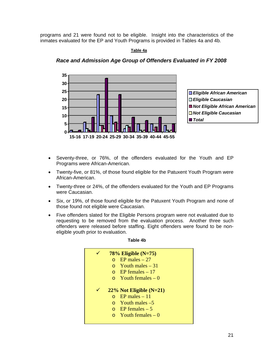programs and 21 were found not to be eligible. Insight into the characteristics of the inmates evaluated for the EP and Youth Programs is provided in Tables 4a and 4b.

#### **Table 4a**



#### *Race and Admission Age Group of Offenders Evaluated in FY 2008*

- Seventy-three, or 76%, of the offenders evaluated for the Youth and EP Programs were African-American.
- Twenty-five, or 81%, of those found eligible for the Patuxent Youth Program were African-American.
- Twenty-three or 24%, of the offenders evaluated for the Youth and EP Programs were Caucasian.
- Six, or 19%, of those found eligible for the Patuxent Youth Program and none of those found not eligible were Caucasian.
- Five offenders slated for the Eligible Persons program were not evaluated due to requesting to be removed from the evaluation process. Another three such offenders were released before staffing. Eight offenders were found to be noneligible youth prior to evaluation.

|  | $78\%$ Eligible (N=75)     |
|--|----------------------------|
|  | $\Omega$ EP males – 27     |
|  | $\Omega$ Youth males – 31  |
|  | $\circ$ EP females – 17    |
|  | $\circ$ Youth females – 0  |
|  |                            |
|  | $22\%$ Not Eligible (N=21) |
|  | $EP$ males $-11$           |
|  | $\circ$ Youth males -5     |
|  | $\circ$ EP females – 5     |
|  | $\circ$ Youth females – 0  |
|  |                            |

#### **Table 4b**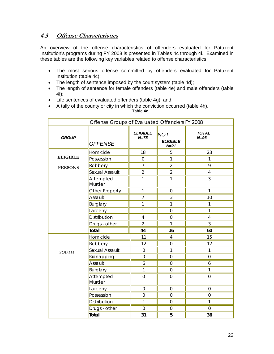## **4.3 Offense Characteristics**

An overview of the offense characteristics of offenders evaluated for Patuxent Institution's programs during FY 2008 is presented in Tables 4c through 4i. Examined in these tables are the following key variables related to offense characteristics:

- The most serious offense committed by offenders evaluated for Patuxent Institution (table 4c);
- The length of sentence imposed by the court system (table 4d);
- The length of sentence for female offenders (table 4e) and male offenders (table 4f);
- Life sentences of evaluated offenders (table 4g); and,
- A tally of the county or city in which the conviction occurred (table 4h).

 **Table 4c**

| Offense Groups of Evaluated Offenders FY 2008 |                     |                           |                                           |                        |  |
|-----------------------------------------------|---------------------|---------------------------|-------------------------------------------|------------------------|--|
| <b>GROUP</b>                                  | <b>OFFENSE</b>      | <b>ELIGIBLE</b><br>$N=75$ | <b>NOT</b><br><b>ELIGIBLE</b><br>$N = 21$ | <b>TOTAL</b><br>$N=96$ |  |
|                                               | Homicide            | 18                        | 5                                         | 23                     |  |
| <b>ELIGIBLE</b>                               | Possession          | $\mathbf 0$               | 1                                         | $\mathbf{1}$           |  |
| <b>PERSONS</b>                                | Robbery             | $\overline{7}$            | $\overline{2}$                            | 9                      |  |
|                                               | Sexual Assault      | $\overline{2}$            | $\overline{2}$                            | $\overline{4}$         |  |
|                                               | Attempted<br>Murder | $\mathbf{1}$              | 1                                         | 3                      |  |
|                                               | Other Property      | 1                         | $\mathsf{O}\xspace$                       | 1                      |  |
|                                               | Assault             | $\overline{7}$            | 3                                         | 10                     |  |
|                                               | Burglary            | $\mathbf{1}$              | $\mathbf{1}$                              | $\mathbf{1}$           |  |
|                                               | Larceny             | 1                         | $\boldsymbol{0}$                          | $\mathbf{1}$           |  |
|                                               | Distribution        | $\overline{4}$            | $\mathbf 0$                               | $\overline{4}$         |  |
|                                               | Drugs - other       | $\overline{2}$            | $\mathbf{1}$                              | 3                      |  |
|                                               | Total               | 44                        | 16                                        | 60                     |  |
|                                               | Homicide            | 11                        | $\overline{4}$                            | 15                     |  |
|                                               | Robbery             | 12                        | $\mathbf 0$                               | 12                     |  |
| YOUTH                                         | Sexual Assault      | $\mathbf 0$               | 1                                         | $\mathbf{1}$           |  |
|                                               | Kidnapping          | $\mathbf 0$               | $\mathbf 0$                               | $\overline{0}$         |  |
|                                               | Assault             | 6                         | $\overline{0}$                            | 6                      |  |
|                                               | Burglary            | 1                         | $\mathbf 0$                               | $\mathbf{1}$           |  |
|                                               | Attempted<br>Murder | $\mathbf 0$               | $\overline{0}$                            | $\overline{0}$         |  |
|                                               | Larceny             | $\mathbf 0$               | $\overline{0}$                            | $\overline{0}$         |  |
|                                               | Possession          | $\mathbf 0$               | $\mathbf 0$                               | $\mathbf 0$            |  |
|                                               | Distribution        | $\mathbf{1}$              | $\mathbf 0$                               | $\mathbf{1}$           |  |
|                                               | Drugs - other       | $\mathbf 0$               | $\mathbf 0$                               | $\mathsf{O}\xspace$    |  |
|                                               | Total               | 31                        | 5                                         | 36                     |  |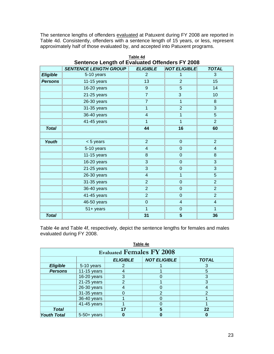The sentence lengths of offenders evaluated at Patuxent during FY 2008 are reported in Table 4d. Consistently, offenders with a sentence length of 15 years, or less, represent approximately half of those evaluated by, and accepted into Patuxent programs.

|                 | Sentence Length of Evaluated Offenders FY 2008 |                         |                          |                         |  |  |  |
|-----------------|------------------------------------------------|-------------------------|--------------------------|-------------------------|--|--|--|
|                 | <b>SENTENCE LENGTH GROUP</b>                   | <b>ELIGIBLE</b>         | <b>NOT ELIGIBLE</b>      | <b>TOTAL</b>            |  |  |  |
| <b>Eligible</b> | 5-10 years                                     | $\overline{2}$          | 1                        | 3                       |  |  |  |
| <b>Persons</b>  | $11-15$ years                                  | 13                      | $\overline{2}$           | 15                      |  |  |  |
|                 | 16-20 years                                    | 9                       | 5                        | 14                      |  |  |  |
|                 | 21-25 years                                    | $\overline{7}$          | $\mathbf{3}$             | 10                      |  |  |  |
|                 | 26-30 years                                    | $\overline{7}$          | 1                        | 8                       |  |  |  |
|                 | 31-35 years                                    | $\overline{1}$          | $\overline{2}$           | 3                       |  |  |  |
|                 | 36-40 years                                    | $\overline{\mathbf{4}}$ | $\overline{\mathbf{1}}$  | 5                       |  |  |  |
|                 | 41-45 years                                    | 1                       | 1                        | $\overline{2}$          |  |  |  |
| <b>Total</b>    |                                                | 44                      | 16                       | 60                      |  |  |  |
|                 |                                                |                         |                          |                         |  |  |  |
| Youth           | < 5 years                                      | $\overline{2}$          | $\mathbf 0$              | $\overline{2}$          |  |  |  |
|                 | 5-10 years                                     | $\overline{\mathbf{4}}$ | $\mathbf 0$              | 4                       |  |  |  |
|                 | $11-15$ years                                  | 8                       | $\mathbf 0$              | 8                       |  |  |  |
|                 | 16-20 years                                    | 3                       | $\mathbf 0$              | 3                       |  |  |  |
|                 | 21-25 years                                    | 3                       | $\mathbf 0$              | 3                       |  |  |  |
|                 | $26-30$ years                                  | $\overline{\mathbf{4}}$ | 1                        | 5                       |  |  |  |
|                 | 31-35 years                                    | $\overline{2}$          | $\mathbf 0$              | $\overline{2}$          |  |  |  |
|                 | 36-40 years                                    | $\overline{2}$          | $\overline{0}$           | $\overline{2}$          |  |  |  |
|                 | 41-45 years                                    | $\overline{2}$          | $\mathbf 0$              | $\overline{2}$          |  |  |  |
|                 | 46-50 years                                    | $\mathbf 0$             | $\overline{\mathcal{A}}$ | $\overline{\mathbf{4}}$ |  |  |  |
|                 | $51 +$ years                                   | 1                       | $\boldsymbol{0}$         | $\overline{1}$          |  |  |  |
| <b>Total</b>    |                                                | 31                      | 5                        | 36                      |  |  |  |

**Table 4d Sentence Length of Evaluated Offenders FY 2008** 

Table 4e and Table 4f, respectively, depict the sentence lengths for females and males evaluated during FY 2008.

| Table 4e           |                                                        |    |   |    |  |  |  |  |  |
|--------------------|--------------------------------------------------------|----|---|----|--|--|--|--|--|
|                    | <b>Evaluated Females FY 2008</b>                       |    |   |    |  |  |  |  |  |
|                    | <b>NOT ELIGIBLE</b><br><b>ELIGIBLE</b><br><b>TOTAL</b> |    |   |    |  |  |  |  |  |
| <b>Eligible</b>    | 5-10 years                                             | 2  |   |    |  |  |  |  |  |
| <b>Persons</b>     | 11-15 years                                            |    |   | 5  |  |  |  |  |  |
|                    | 16-20 years                                            | 3  |   | 3  |  |  |  |  |  |
|                    | $21-25$ years                                          | 2  |   | 3  |  |  |  |  |  |
|                    | 26-30 years                                            |    |   |    |  |  |  |  |  |
|                    | 31-35 years                                            |    | 2 | 2  |  |  |  |  |  |
|                    | 36-40 years                                            |    |   |    |  |  |  |  |  |
|                    | 41-45 years                                            |    |   |    |  |  |  |  |  |
| <b>Total</b>       |                                                        | 17 | 5 | 22 |  |  |  |  |  |
| <b>Youth Total</b> | $5-50+$ years                                          |    |   |    |  |  |  |  |  |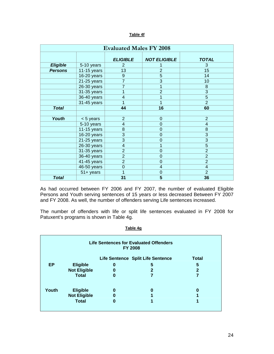#### **Table 4f**

| <b>Evaluated Males FY 2008</b> |               |                          |                     |                |  |  |
|--------------------------------|---------------|--------------------------|---------------------|----------------|--|--|
|                                |               | <b>ELIGIBLE</b>          | <b>NOT ELIGIBLE</b> | <b>TOTAL</b>   |  |  |
| <b>Eligible</b>                | 5-10 years    | $\overline{2}$           |                     | 3              |  |  |
| <b>Persons</b>                 | $11-15$ years | 13                       | $\overline{2}$      | 15             |  |  |
|                                | 16-20 years   | 9                        | $\overline{5}$      | 14             |  |  |
|                                | $21-25$ years | $\overline{7}$           | $\overline{3}$      | 10             |  |  |
|                                | 26-30 years   | 7                        | 1                   | 8              |  |  |
|                                | 31-35 years   | 1                        | $\overline{2}$      | $\overline{3}$ |  |  |
|                                | 36-40 years   | $\overline{\mathcal{A}}$ | 1                   | $\overline{5}$ |  |  |
|                                | 31-45 years   | 1                        | 1                   | $\overline{2}$ |  |  |
| <b>Total</b>                   |               | 44                       | 16                  | 60             |  |  |
|                                |               |                          |                     |                |  |  |
| Youth                          | < 5 years     | $\overline{2}$           | $\mathbf 0$         | $\overline{2}$ |  |  |
|                                | 5-10 years    | 4                        | $\mathbf 0$         | 4              |  |  |
|                                | $11-15$ years | 8                        | $\mathbf 0$         | 8              |  |  |
|                                | 16-20 years   | $\overline{3}$           | $\overline{0}$      | $\overline{3}$ |  |  |
|                                | $21-25$ years | $\overline{3}$           | $\overline{0}$      | $\overline{3}$ |  |  |
|                                | 26-30 years   | $\overline{\mathcal{A}}$ | 1                   | $\overline{5}$ |  |  |
|                                | 31-35 years   | $\overline{2}$           | $\overline{0}$      | $\overline{2}$ |  |  |
|                                | 36-40 years   | $\overline{2}$           | $\mathbf 0$         | $\overline{2}$ |  |  |
|                                | $41-45$ years | $\overline{2}$           | $\overline{0}$      | $\overline{2}$ |  |  |
|                                | 46-50 years   | $\mathbf 0$              | $\overline{4}$      | $\overline{4}$ |  |  |
|                                | $51 +$ years  | 1                        | $\mathbf 0$         | $\overline{2}$ |  |  |
| <b>Total</b>                   |               | 31                       | 5                   | 36             |  |  |

As had occurred between FY 2006 and FY 2007, the number of evaluated Eligible Persons and Youth serving sentences of 15 years or less decreased Between FY 2007 and FY 2008. As well, the number of offenders serving Life sentences increased.

The number of offenders with life or split life sentences evaluated in FY 2008 for Patuxent's programs is shown in Table 4g.

| <b>Life Sentences for Evaluated Offenders</b><br><b>FY 2008</b> |                           |   |                                   |              |  |  |  |
|-----------------------------------------------------------------|---------------------------|---|-----------------------------------|--------------|--|--|--|
|                                                                 |                           |   | Life Sentence Split Life Sentence | <b>Total</b> |  |  |  |
| EP                                                              | <b>Eligible</b>           | 0 | 5                                 | 5            |  |  |  |
|                                                                 | <b>Not Eligible</b>       | 0 |                                   | 2            |  |  |  |
| <b>Total</b>                                                    |                           |   |                                   |              |  |  |  |
| Youth                                                           | <b>Eligible</b><br>0<br>O |   |                                   |              |  |  |  |
|                                                                 | <b>Not Eligible</b>       | 0 |                                   |              |  |  |  |
|                                                                 | <b>Total</b>              | 0 |                                   |              |  |  |  |

 **Table 4g**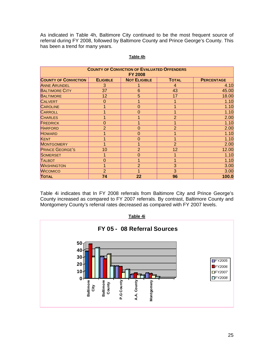As indicated in Table 4h, Baltimore City continued to be the most frequent source of referral during FY 2008, followed by Baltimore County and Prince George's County. This has been a trend for many years.

| <b>COUNTY OF CONVICTION OF EVALUATED OFFENDERS</b><br><b>FY 2008</b> |                 |                     |                |                   |  |  |  |
|----------------------------------------------------------------------|-----------------|---------------------|----------------|-------------------|--|--|--|
| <b>COUNTY OF CONVICTION</b>                                          | <b>ELIGIBLE</b> | <b>NOT ELIGIBLE</b> | <b>TOTAL</b>   | <b>PERCENTAGE</b> |  |  |  |
| <b>ANNE ARUNDEL</b>                                                  | 3               |                     | 4              | 4.10              |  |  |  |
| <b>BALTIMORE CITY</b>                                                | 37              | 6                   | 43             | 45.00             |  |  |  |
| <b>BALTIMORE</b>                                                     | 12              | 5                   | 17             | 18.00             |  |  |  |
| <b>CALVERT</b>                                                       | $\overline{0}$  |                     | 1              | 1.10              |  |  |  |
| <b>CAROLINE</b>                                                      | 1               | $\overline{0}$      | 1              | 1.10              |  |  |  |
| <b>CARROLL</b>                                                       |                 | 0                   | 1              | 1.10              |  |  |  |
| <b>CHARLES</b>                                                       |                 |                     | $\overline{2}$ | 2.00              |  |  |  |
| <b>FREDRICK</b>                                                      | $\overline{0}$  |                     |                | 1.10              |  |  |  |
| <b>HARFORD</b>                                                       | $\overline{2}$  | 0                   | $\overline{2}$ | 2.00              |  |  |  |
| <b>HOWARD</b>                                                        |                 | 0                   |                | 1.10              |  |  |  |
| <b>KENT</b>                                                          | 1               | $\mathbf 0$         | 1              | 1.10              |  |  |  |
| <b>MONTGOMERY</b>                                                    | 1               |                     | $\overline{2}$ | 2.00              |  |  |  |
| <b>PRINCE GEORGE'S</b>                                               | 10              | $\overline{2}$      | 12             | 12.00             |  |  |  |
| <b>SOMERSET</b>                                                      | 1               | $\overline{0}$      |                | 1.10              |  |  |  |
| <b>TALBOT</b>                                                        | $\overline{0}$  |                     |                | 1.10              |  |  |  |
| <b>WASHINGTON</b>                                                    | 1               | $\overline{2}$      | 3              | 3.00              |  |  |  |
| <b>WICOMICO</b>                                                      | $\overline{2}$  |                     | 3              | 3.00              |  |  |  |
| <b>TOTAL</b>                                                         | 74              | 22                  | 96             | 100.0             |  |  |  |

#### **Table 4h**

Table 4i indicates that In FY 2008 referrals from Baltimore City and Prince George's County increased as compared to FY 2007 referrals. By contrast, Baltimore County and Montgomery County's referral rates decreased as compared with FY 2007 levels.

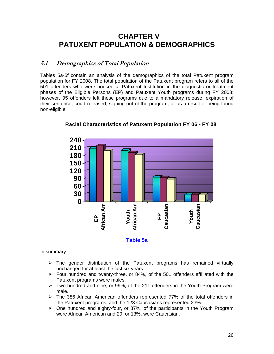# **CHAPTER V PATUXENT POPULATION & DEMOGRAPHICS**

## **5.1 Demographics of Total Population**

Tables 5a-5f contain an analysis of the demographics of the total Patuxent program population for FY 2008. The total population of the Patuxent program refers to all of the 501 offenders who were housed at Patuxent Institution in the diagnostic or treatment phases of the Eligible Persons (EP) and Patuxent Youth programs during FY 2008; however, 95 offenders left these programs due to a mandatory release, expiration of their sentence, court released, signing out of the program, or as a result of being found non-eligible.





In summary:

- $\triangleright$  The gender distribution of the Patuxent programs has remained virtually unchanged for at least the last six years.
- $\triangleright$  Four hundred and twenty-three, or 84%, of the 501 offenders affiliated with the Patuxent programs were males.
- $\triangleright$  Two hundred and nine, or 99%, of the 211 offenders in the Youth Program were male.
- $\triangleright$  The 386 African American offenders represented 77% of the total offenders in the Patuxent programs, and the 123 Caucasians represented 23%.
- $\triangleright$  One hundred and eighty-four, or 87%, of the participants in the Youth Program were African American and 29, or 13%, were Caucasian.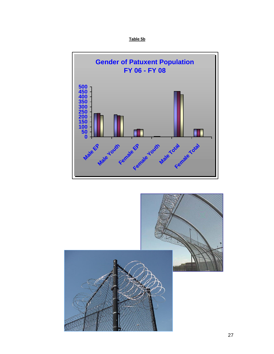



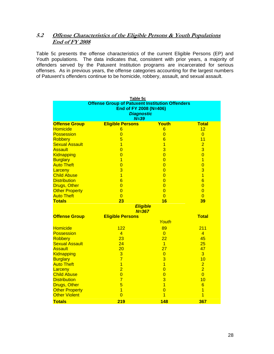## **5.2 Offense Characteristics of the Eligible Persons & Youth Populations End of FY 2008**

Table 5c presents the offense characteristics of the current Eligible Persons (EP) and Youth populations. The data indicates that, consistent with prior years, a majority of offenders served by the Patuxent Institution programs are incarcerated for serious offenses. As in previous years, the offense categories accounting for the largest numbers of Patuxent's offenders continue to be homicide, robbery, assault, and sexual assault.

| Table 5c                                               |                         |                 |                 |  |  |  |  |  |  |
|--------------------------------------------------------|-------------------------|-----------------|-----------------|--|--|--|--|--|--|
| <b>Offense Group of Patuxent Institution Offenders</b> |                         |                 |                 |  |  |  |  |  |  |
| End of FY 2008 (N=406)                                 |                         |                 |                 |  |  |  |  |  |  |
|                                                        | <b>Diagnostic</b>       |                 |                 |  |  |  |  |  |  |
|                                                        | $N = 39$                |                 |                 |  |  |  |  |  |  |
| <b>Offense Group</b>                                   | <b>Eligible Persons</b> | Youth           | <b>Total</b>    |  |  |  |  |  |  |
| <b>Homicide</b>                                        | $6\phantom{1}6$         | $6\phantom{1}$  | 12              |  |  |  |  |  |  |
| <b>Possession</b>                                      | $\overline{0}$          | $\overline{0}$  | $\overline{0}$  |  |  |  |  |  |  |
| <b>Robbery</b>                                         | 5                       | $6\phantom{1}6$ | 11              |  |  |  |  |  |  |
| <b>Sexual Assault</b>                                  | $\overline{1}$          | $\overline{1}$  | $\overline{2}$  |  |  |  |  |  |  |
| <b>Assault</b>                                         | $\overline{0}$          | 3               | $\overline{3}$  |  |  |  |  |  |  |
| Kidnapping                                             | $\overline{0}$          | $\overline{0}$  | $\overline{0}$  |  |  |  |  |  |  |
| <b>Burglary</b>                                        | $\overline{1}$          | $\overline{0}$  | $\overline{1}$  |  |  |  |  |  |  |
| <b>Auto Theft</b>                                      | $\overline{0}$          | $\overline{0}$  | $\overline{0}$  |  |  |  |  |  |  |
| Larceny                                                | 3                       | $\overline{0}$  | 3               |  |  |  |  |  |  |
| <b>Child Abuse</b>                                     | $\overline{1}$          | $\overline{0}$  | $\overline{1}$  |  |  |  |  |  |  |
| <b>Distribution</b>                                    | $\overline{6}$          | $\overline{0}$  | $\overline{6}$  |  |  |  |  |  |  |
| <b>Drugs, Other</b>                                    | $\overline{0}$          | $\overline{0}$  | $\overline{0}$  |  |  |  |  |  |  |
| <b>Other Property</b>                                  | $\overline{0}$          | $\overline{0}$  | $\overline{0}$  |  |  |  |  |  |  |
| <b>Auto Theft</b>                                      | $\overline{0}$          | $\overline{0}$  | $\Omega$        |  |  |  |  |  |  |
| <b>Totals</b>                                          | 23                      | 16              | 39              |  |  |  |  |  |  |
| <b>Eligible</b>                                        |                         |                 |                 |  |  |  |  |  |  |
|                                                        | $N = 367$               |                 |                 |  |  |  |  |  |  |
| <b>Offense Group</b>                                   | <b>Eligible Persons</b> |                 | <b>Total</b>    |  |  |  |  |  |  |
|                                                        |                         | Youth           |                 |  |  |  |  |  |  |
| <b>Homicide</b>                                        | 122                     | 89              | 211             |  |  |  |  |  |  |
| <b>Possession</b>                                      | $\overline{4}$          | $\overline{0}$  | $\overline{4}$  |  |  |  |  |  |  |
| <b>Robbery</b>                                         | 23                      | 22              | 45              |  |  |  |  |  |  |
| <b>Sexual Assault</b>                                  | 24                      | $\overline{1}$  | 25              |  |  |  |  |  |  |
| <b>Assault</b>                                         | 20                      | 27              | 47              |  |  |  |  |  |  |
| Kidnapping                                             | 3                       | $\overline{0}$  | $\overline{3}$  |  |  |  |  |  |  |
| <b>Burglary</b>                                        | $\overline{7}$          | 3               | 10              |  |  |  |  |  |  |
| <b>Auto Theft</b>                                      | $\overline{1}$          | $\overline{1}$  | $\overline{2}$  |  |  |  |  |  |  |
| Larceny                                                | $\overline{2}$          | $\overline{0}$  | $\overline{2}$  |  |  |  |  |  |  |
| <b>Child Abuse</b>                                     | $\overline{0}$          | $\overline{0}$  | $\overline{0}$  |  |  |  |  |  |  |
| <b>Distribution</b>                                    | $\overline{7}$          | 3               | 10              |  |  |  |  |  |  |
| Drugs, Other                                           | $\overline{5}$          | $\overline{1}$  | $6\phantom{1}6$ |  |  |  |  |  |  |
| <b>Other Property</b>                                  | $\overline{1}$          | $\overline{0}$  | 1               |  |  |  |  |  |  |
| <b>Other Violent</b>                                   | $\overline{0}$          | $\overline{1}$  | 1               |  |  |  |  |  |  |
| <b>Totals</b>                                          | 219                     | <b>148</b>      | 367             |  |  |  |  |  |  |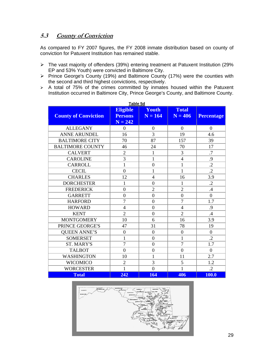## **5.3 County of Conviction**

As compared to FY 2007 figures, the FY 2008 inmate distribution based on county of conviction for Patuxent Institution has remained stable.

- ¾ The vast majority of offenders (39%) entering treatment at Patuxent Institution (29% EP and 53% Youth) were convicted in Baltimore City.
- ¾ Prince George's County (19%) and Baltimore County (17%) were the counties with the second and third highest convictions, respectively.
- $\triangleright$  A total of 75% of the crimes committed by inmates housed within the Patuxent Institution occurred in Baltimore City, Prince George's County, and Baltimore County.

| Table 5d                    |                                                |                    |                           |                   |  |  |
|-----------------------------|------------------------------------------------|--------------------|---------------------------|-------------------|--|--|
| <b>County of Conviction</b> | <b>Eligible</b><br><b>Persons</b><br>$N = 242$ | Youth<br>$N = 164$ | <b>Total</b><br>$N = 406$ | <b>Percentage</b> |  |  |
| <b>ALLEGANY</b>             | $\overline{0}$                                 | $\overline{0}$     | $\Omega$                  | $\overline{0}$    |  |  |
| <b>ANNE ARUNDEL</b>         | 16                                             | 3                  | 19                        | 4.6               |  |  |
| <b>BALTIMORE CITY</b>       | 70                                             | 87                 | 157                       | 39                |  |  |
| <b>BALTIMORE COUNTY</b>     | 46                                             | 24                 | 70                        | 17                |  |  |
| <b>CALVERT</b>              | $\overline{2}$                                 | $\mathbf{1}$       | 3                         | $\overline{.7}$   |  |  |
| <b>CAROLINE</b>             | $\overline{3}$                                 | $\mathbf{1}$       | $\overline{4}$            | .9                |  |  |
| <b>CARROLL</b>              | $\mathbf 1$                                    | $\boldsymbol{0}$   | $\mathbf{1}$              | $\cdot$           |  |  |
| <b>CECIL</b>                | $\overline{0}$                                 | $\mathbf{1}$       | $\mathbf{1}$              | $\cdot$           |  |  |
| <b>CHARLES</b>              | 12                                             | $\overline{4}$     | 16                        | 3.9               |  |  |
| <b>DORCHESTER</b>           | $\mathbf{1}$                                   | $\overline{0}$     | $\mathbf{1}$              | $\cdot$           |  |  |
| <b>FREDERICK</b>            | $\overline{0}$                                 | $\overline{2}$     | $\overline{2}$            | .4                |  |  |
| <b>GARRETT</b>              | $\overline{0}$                                 | $\boldsymbol{0}$   | $\boldsymbol{0}$          | $\overline{0}$    |  |  |
| <b>HARFORD</b>              | $\overline{7}$                                 | $\overline{0}$     | $\overline{7}$            | 1.7               |  |  |
| <b>HOWARD</b>               | $\overline{4}$                                 | $\overline{0}$     | $\overline{4}$            | .9                |  |  |
| <b>KENT</b>                 | $\overline{2}$                                 | $\overline{0}$     | $\overline{2}$            | .4                |  |  |
| <b>MONTGOMERY</b>           | 10                                             | 6                  | 16                        | 3.9               |  |  |
| PRINCE GEORGE'S             | 47                                             | 31                 | 78                        | 19                |  |  |
| <b>QUEEN ANNE'S</b>         | $\overline{0}$                                 | $\boldsymbol{0}$   | $\overline{0}$            | $\boldsymbol{0}$  |  |  |
| <b>SOMERSET</b>             | $\mathbf 1$                                    | $\boldsymbol{0}$   | $\mathbf{1}$              | $\cdot$ .2        |  |  |
| <b>ST. MARY'S</b>           | $\overline{7}$                                 | $\overline{0}$     | $\overline{7}$            | 1.7               |  |  |
| <b>TALBOT</b>               | $\overline{0}$                                 | $\overline{0}$     | $\overline{0}$            | $\overline{0}$    |  |  |
| <b>WASHINGTON</b>           | 10                                             | $\mathbf 1$        | 11                        | 2.7               |  |  |
| <b>WICOMICO</b>             | $\overline{2}$                                 | 3                  | 5                         | 1.2               |  |  |
| <b>WORCESTER</b>            | $\mathbf{1}$                                   | $\overline{0}$     | $\mathbf{1}$              | $\cdot$ .2        |  |  |
| <b>Total</b>                | 242                                            | 164                | 406                       | 100.0             |  |  |

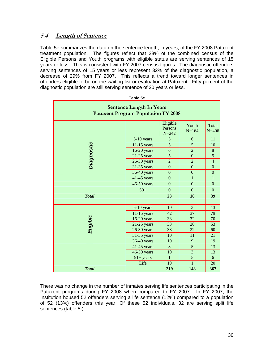## **5.4****Length of Sentence**

Table 5e summarizes the data on the sentence length, in years, of the FY 2008 Patuxent treatment population. The figures reflect that 28% of the combined census of the Eligible Persons and Youth programs with eligible status are serving sentences of 15 years or less. This is consistent with FY 2007 census figures. The diagnostic offenders serving sentences of 15 years or less represent 32% of the diagnostic population, a decrease of 29% from FY 2007. This reflects a trend toward longer sentences in offenders eligible to be on the waiting list or evaluation at Patuxent. Fifty percent of the diagnostic population are still serving sentence of 20 years or less.

| Table 5e                                                                      |               |                                  |                    |                    |  |  |  |
|-------------------------------------------------------------------------------|---------------|----------------------------------|--------------------|--------------------|--|--|--|
| <b>Sentence Length In Years</b><br><b>Patuxent Program Population FY 2008</b> |               |                                  |                    |                    |  |  |  |
|                                                                               |               | Eligible<br>Persons<br>$N = 242$ | Youth<br>$N = 164$ | Total<br>$N = 406$ |  |  |  |
|                                                                               | 5-10 years    | 5                                | 6                  | 11                 |  |  |  |
|                                                                               | $11-15$ years | $\overline{5}$                   | 5                  | 10                 |  |  |  |
| Diagnostic                                                                    | $16-20$ years | 6                                | $\overline{2}$     | $8\,$              |  |  |  |
|                                                                               | $21-25$ years | 5                                | $\overline{0}$     | $\overline{5}$     |  |  |  |
|                                                                               | $26-30$ years | $\overline{2}$                   | $\overline{2}$     | $\overline{4}$     |  |  |  |
|                                                                               | 31-35 years   | $\overline{0}$                   | $\overline{0}$     | $\overline{0}$     |  |  |  |
|                                                                               | 36-40 years   | $\overline{0}$                   | $\overline{0}$     | $\overline{0}$     |  |  |  |
|                                                                               | 41-45 years   | $\overline{0}$                   | $\mathbf{1}$       | $\mathbf{1}$       |  |  |  |
|                                                                               | 46-50 years   | $\overline{0}$                   | $\mathbf{0}$       | $\overline{0}$     |  |  |  |
|                                                                               | $50+$         | $\mathbf{0}$                     | $\Omega$           | $\theta$           |  |  |  |
| <b>Total</b>                                                                  |               | 23                               | 16                 | 39                 |  |  |  |
|                                                                               |               |                                  |                    |                    |  |  |  |
|                                                                               | $5-10$ years  | 10                               | $\overline{3}$     | 13                 |  |  |  |
|                                                                               | $11-15$ years | 42                               | 37                 | 79                 |  |  |  |
| Eligible                                                                      | 16-20 years   | 38                               | 32                 | 70                 |  |  |  |
|                                                                               | $21-25$ years | 33                               | 20                 | 53                 |  |  |  |
|                                                                               | $26-30$ years | 38                               |                    | 60                 |  |  |  |
|                                                                               | 31-35 years   | 10                               | 11                 | 21                 |  |  |  |
|                                                                               | 36-40 years   | 10                               | $\mathbf{9}$       | 19                 |  |  |  |
|                                                                               | 41-45 years   | 8                                | 5                  | 13                 |  |  |  |
|                                                                               | 46-50 years   | 10                               | $\overline{3}$     | 13                 |  |  |  |
|                                                                               | $51 + years$  | 1                                | $\overline{5}$     | 6                  |  |  |  |
|                                                                               | Life          | 19                               | 1                  | 20                 |  |  |  |
| <b>Total</b>                                                                  |               | 219                              | 148                | 367                |  |  |  |

There was no change in the number of inmates serving life sentences participating in the Patuxent programs during FY 2008 when compared to FY 2007. In FY 2007, the Institution housed 52 offenders serving a life sentence (12%) compared to a population of 52 (13%) offenders this year. Of these 52 individuals, 32 are serving split life sentences (table 5f).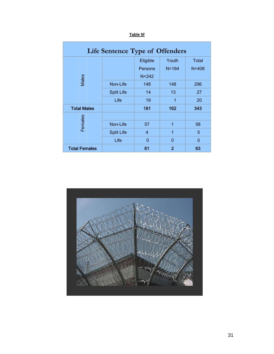| <b>Life Sentence Type of Offenders</b> |                   |           |                |              |  |  |  |
|----------------------------------------|-------------------|-----------|----------------|--------------|--|--|--|
|                                        |                   | Eligible  | Youth          | <b>Total</b> |  |  |  |
|                                        |                   | Persons   | $N = 164$      | $N = 406$    |  |  |  |
| Males                                  |                   | $N = 242$ |                |              |  |  |  |
|                                        | Non-Life          | 148       | 148            | 296          |  |  |  |
|                                        | <b>Split Life</b> | 14        | 13             | 27           |  |  |  |
|                                        | Life              | 19        | 1              |              |  |  |  |
| <b>Total Males</b>                     |                   | 181       | 162            | 343          |  |  |  |
|                                        |                   |           |                |              |  |  |  |
| Females                                | Non-Life          | 1<br>57   |                | 58           |  |  |  |
|                                        | <b>Split Life</b> | 4         | 1              | 5            |  |  |  |
|                                        | Life              | $\Omega$  | $\Omega$       | $\Omega$     |  |  |  |
| <b>Total Females</b>                   |                   | 61        | $\overline{2}$ | 63           |  |  |  |

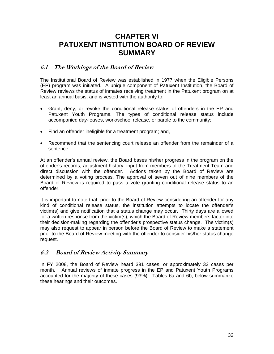# **CHAPTER VI PATUXENT INSTITUTION BOARD OF REVIEW SUMMARY**

## **6.1 The Workings of the Board of Review**

The Institutional Board of Review was established in 1977 when the Eligible Persons (EP) program was initiated. A unique component of Patuxent Institution, the Board of Review reviews the status of inmates receiving treatment in the Patuxent program on at least an annual basis, and is vested with the authority to:

- Grant, deny, or revoke the conditional release status of offenders in the EP and Patuxent Youth Programs. The types of conditional release status include accompanied day-leaves, work/school release, or parole to the community;
- Find an offender ineligible for a treatment program; and,
- Recommend that the sentencing court release an offender from the remainder of a sentence.

At an offender's annual review, the Board bases his/her progress in the program on the offender's records, adjustment history, input from members of the Treatment Team and direct discussion with the offender. Actions taken by the Board of Review are determined by a voting process. The approval of seven out of nine members of the Board of Review is required to pass a vote granting conditional release status to an offender.

It is important to note that, prior to the Board of Review considering an offender for any kind of conditional release status, the institution attempts to locate the offender's victim(s) and give notification that a status change may occur. Thirty days are allowed for a written response from the victim(s), which the Board of Review members factor into their decision-making regarding the offender's prospective status change. The victim(s) may also request to appear in person before the Board of Review to make a statement prior to the Board of Review meeting with the offender to consider his/her status change request.

## **6.2 Board of Review Activity Summary**

In FY 2008, the Board of Review heard 391 cases, or approximately 33 cases per month. Annual reviews of inmate progress in the EP and Patuxent Youth Programs accounted for the majority of these cases (93%). Tables 6a and 6b, below summarize these hearings and their outcomes.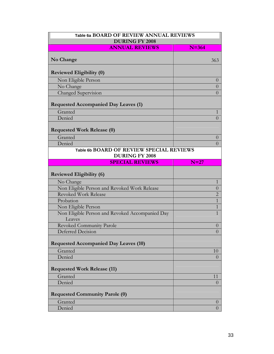| Table 6a BOARD OF REVIEW ANNUAL REVIEWS<br><b>DURING FY 2008</b> |                                  |  |  |  |  |
|------------------------------------------------------------------|----------------------------------|--|--|--|--|
|                                                                  |                                  |  |  |  |  |
|                                                                  |                                  |  |  |  |  |
| No Change                                                        | 363                              |  |  |  |  |
| <b>Reviewed Eligibility (0)</b>                                  |                                  |  |  |  |  |
| Non Eligible Person                                              | $\overline{0}$                   |  |  |  |  |
| No Change                                                        | $\overline{0}$                   |  |  |  |  |
| Changed Supervision                                              | $\overline{0}$                   |  |  |  |  |
| <b>Requested Accompanied Day Leaves (1)</b>                      |                                  |  |  |  |  |
| Granted                                                          | 1                                |  |  |  |  |
| Denied                                                           | $\overline{0}$                   |  |  |  |  |
| <b>Requested Work Release (0)</b>                                |                                  |  |  |  |  |
| Granted                                                          |                                  |  |  |  |  |
| Denied                                                           | $\overline{0}$<br>$\overline{0}$ |  |  |  |  |
| Table 6b BOARD OF REVIEW SPECIAL REVIEWS                         |                                  |  |  |  |  |
| <b>DURING FY 2008</b>                                            |                                  |  |  |  |  |
| <b>SPECIAL REVIEWS</b>                                           | $N=27$                           |  |  |  |  |
| <b>Reviewed Eligibility (6)</b>                                  |                                  |  |  |  |  |
| No Change                                                        | 1                                |  |  |  |  |
| Non Eligible Person and Revoked Work Release                     | $\overline{0}$                   |  |  |  |  |
| <b>Revoked Work Release</b>                                      | $\overline{2}$                   |  |  |  |  |
| Probation                                                        | $\overline{1}$                   |  |  |  |  |
| Non Eligible Person                                              | $\mathbf{1}$                     |  |  |  |  |
| Non Eligible Person and Revoked Accompanied Day<br>Leaves        | $\mathbf{1}$                     |  |  |  |  |
| <b>Revoked Community Parole</b>                                  | $\overline{0}$                   |  |  |  |  |
| <b>Deferred Decision</b>                                         | $\overline{0}$                   |  |  |  |  |
| <b>Requested Accompanied Day Leaves (10)</b>                     |                                  |  |  |  |  |
| Granted                                                          | 10                               |  |  |  |  |
| Denied                                                           | $\Omega$                         |  |  |  |  |
| <b>Requested Work Release (11)</b>                               |                                  |  |  |  |  |
| Granted                                                          | 11                               |  |  |  |  |
| Denied                                                           | $\overline{0}$                   |  |  |  |  |
|                                                                  |                                  |  |  |  |  |
| <b>Requested Community Parole (0)</b>                            |                                  |  |  |  |  |
|                                                                  |                                  |  |  |  |  |
| Granted                                                          | $\theta$                         |  |  |  |  |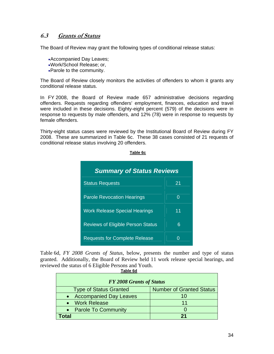## **6.3 Grants of Status**

The Board of Review may grant the following types of conditional release status:

- •Accompanied Day Leaves;
- •Work/School Release; or,
- •Parole to the community.

The Board of Review closely monitors the activities of offenders to whom it grants any conditional release status.

In FY 2008, the Board of Review made 657 administrative decisions regarding offenders. Requests regarding offenders' employment, finances, education and travel were included in these decisions. Eighty-eight percent (579) of the decisions were in response to requests by male offenders, and 12% (78) were in response to requests by female offenders.

Thirty-eight status cases were reviewed by the Institutional Board of Review during FY 2008. These are summarized in Table 6c. These 38 cases consisted of 21 requests of conditional release status involving 20 offenders.

#### **Table 6c**

| <b>Summary of Status Reviews</b>         |    |  |  |  |  |
|------------------------------------------|----|--|--|--|--|
| <b>Status Requests</b>                   | 21 |  |  |  |  |
| <b>Parole Revocation Hearings</b>        | 0  |  |  |  |  |
| <b>Work Release Special Hearings</b>     | 11 |  |  |  |  |
| <b>Reviews of Eligible Person Status</b> | 6  |  |  |  |  |
| <b>Requests for Complete Release</b>     | ი  |  |  |  |  |

Table 6d, *FY 2008 Grants of Status*, below, presents the number and type of status granted. Additionally, the Board of Review held 11 work release special hearings, and reviewed the status of 6 Eligible Persons and Youth. **Table 6d**

| <b>FY 2008 Grants of Status</b> |                                 |  |  |  |  |  |
|---------------------------------|---------------------------------|--|--|--|--|--|
| <b>Type of Status Granted</b>   | <b>Number of Granted Status</b> |  |  |  |  |  |
| • Accompanied Day Leaves        | 10                              |  |  |  |  |  |
| Work Release                    | 11                              |  |  |  |  |  |
| <b>Parole To Community</b>      |                                 |  |  |  |  |  |
| <b>otal</b>                     | 21                              |  |  |  |  |  |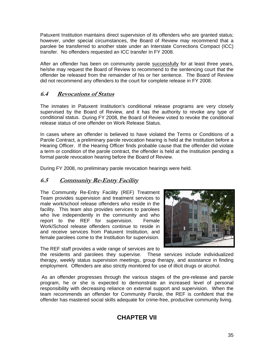Patuxent Institution maintains direct supervision of its offenders who are granted status; however, under special circumstances, the Board of Review may recommend that a parolee be transferred to another state under an Interstate Corrections Compact (ICC) transfer. No offenders requested an ICC transfer In FY 2008.

After an offender has been on community parole successfully for at least three years, he/she may request the Board of Review to recommend to the sentencing court that the offender be released from the remainder of his or her sentence. The Board of Review did not recommend any offenders to the court for complete release in FY 2008.

## **6.4 Revocations of Status**

The inmates in Patuxent Institution's conditional release programs are very closely supervised by the Board of Review, and it has the authority to revoke any type of conditional status. During FY 2008, the Board of Review voted to revoke the conditional release status of one offender on Work Release Status.

In cases where an offender is believed to have violated the Terms or Conditions of a Parole Contract, a preliminary parole revocation hearing is held at the Institution before a Hearing Officer. If the Hearing Officer finds probable cause that the offender did violate a term or condition of the parole contract, the offender is held at the Institution pending a formal parole revocation hearing before the Board of Review.

During FY 2008, no preliminary parole revocation hearings were held.

## **6.5 Community Re-Entry Facility**

The Community Re-Entry Facility (REF) Treatment Team provides supervision and treatment services to male work/school release offenders who reside in the facility. This team also provides services to parolees who live independently in the community and who report to the REF for supervision. Female Work/School release offenders continue to reside in and receive services from Patuxent Institution, and female parolees come to the Institution for supervision.



The REF staff provides a wide range of services are to

the residents and parolees they supervise. These services include individualized therapy, weekly status supervision meetings, group therapy, and assistance in finding employment. Offenders are also strictly monitored for use of illicit drugs or alcohol.

 As an offender progresses through the various stages of the pre-release and parole program, he or she is expected to demonstrate an increased level of personal responsibility with decreasing reliance on external support and supervision. When the team recommends an offender for Community Parole, the REF is confident that the offender has mastered social skills adequate for crime-free, productive community living.

## **CHAPTER VII**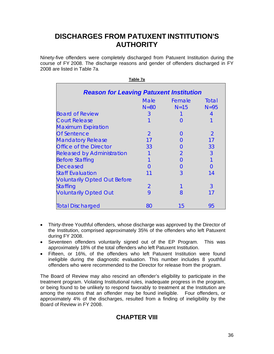# **DISCHARGES FROM PATUXENT INSTITUTION'S AUTHORITY**

Ninety-five offenders were completely discharged from Patuxent Institution during the course of FY 2008. The discharge reasons and gender of offenders discharged in FY 2008 are listed in Table 7a.

| Table 7a                                       |                       |                  |                   |  |  |  |  |
|------------------------------------------------|-----------------------|------------------|-------------------|--|--|--|--|
| <b>Reason for Leaving Patuxent Institution</b> |                       |                  |                   |  |  |  |  |
|                                                | <b>Male</b><br>$N=80$ | Female<br>$N=15$ | Total<br>$N = 95$ |  |  |  |  |
| <b>Board of Review</b>                         | 3                     |                  | 4                 |  |  |  |  |
| <b>Court Release</b>                           |                       | $\left( \right)$ |                   |  |  |  |  |
| <b>Maximum Expiration</b>                      |                       |                  |                   |  |  |  |  |
| <b>Of Sentence</b>                             | $\mathcal{P}$         | $\mathcal{L}$    | $\mathcal{P}$     |  |  |  |  |
| <b>Mandatory Release</b>                       | 17                    |                  | 17                |  |  |  |  |
| <b>Office of the Director</b>                  | 33                    | $\mathcal{L}$    | 33                |  |  |  |  |
| <b>Released by Administration</b>              |                       | 2                | 3                 |  |  |  |  |
| <b>Before Staffing</b>                         |                       | O                |                   |  |  |  |  |
| <b>Deceased</b>                                |                       | $\mathfrak{g}$   | $\cap$            |  |  |  |  |
| <b>Staff Evaluation</b>                        |                       | 3                | 14                |  |  |  |  |
| <b>Voluntarily Opted Out Before</b>            |                       |                  |                   |  |  |  |  |
| <b>Staffing</b>                                | $\overline{2}$        |                  | 3                 |  |  |  |  |
| <b>Voluntarily Opted Out</b>                   | 9                     | 8                | 17                |  |  |  |  |
| <b>Total Discharged</b>                        | 80                    | 15               | 95                |  |  |  |  |

- Thirty-three Youthful offenders, whose discharge was approved by the Director of the Institution, comprised approximately 35% of the offenders who left Patuxent during FY 2008.
- Seventeen offenders voluntarily signed out of the EP Program. This was approximately 18% of the total offenders who left Patuxent Institution.
- Fifteen, or 16%, of the offenders who left Patuxent Institution were found ineligible during the diagnostic evaluation. This number includes 8 youthful offenders who were recommended to the Director for release from the program.

The Board of Review may also rescind an offender's eligibility to participate in the treatment program. Violating Institutional rules, inadequate progress in the program, or being found to be unlikely to respond favorably to treatment at the Institution are among the reasons that an offender may be found ineligible. Four offenders, or approximately 4% of the discharges, resulted from a finding of ineligibility by the Board of Review in FY 2008.

## **CHAPTER VIII**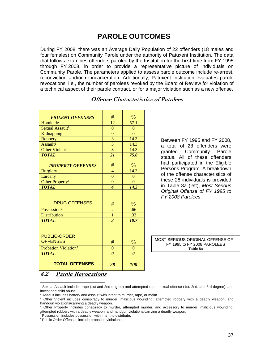# **PAROLE OUTCOMES**

During FY 2008, there was an Average Daily Population of 22 offenders (18 males and four females) on Community Parole under the authority of Patuxent Institution. The data that follows examines offenders paroled by the Institution for the **first** time from FY 1995 through FY 2008, in order to provide a representative picture of individuals on Community Parole. The parameters applied to assess parole outcome include re-arrest, reconviction and/or re-incarceration. Additionally, Patuxent Institution evaluates parole revocations; i.e., the number of parolees revoked by the Board of Review for violation of a technical aspect of their parole contract, or for a major violation such as a new offense.

| <b>VIOLENT OFFENSES</b>          | #                        | $\%$                  |
|----------------------------------|--------------------------|-----------------------|
| Homicide                         | 12                       | 57.1                  |
| Sexual Assault <sup>1</sup>      | $\overline{0}$           | $\overline{0}$        |
| Kidnapping                       | $\overline{0}$           | $\overline{0}$        |
| Robbery                          | 3                        | 14.3                  |
| Assault <sup>2</sup>             | $\overline{3}$           | 14.3                  |
| Other Violent <sup>3</sup>       | $\overline{3}$           | 14.3                  |
| <b>TOTAL</b>                     | 21                       | 75.0                  |
|                                  |                          |                       |
| <b>PROPERTY OFFENSES</b>         | #                        | $\frac{0}{6}$         |
| <b>Burglary</b>                  | $\overline{4}$           | 14.3                  |
| Larceny                          | $\overline{0}$           | $\theta$              |
| Other Property <sup>4</sup>      | $\overline{0}$           | $\overline{0}$        |
| <b>TOTAL</b>                     | $\overline{\mathcal{A}}$ | 14.3                  |
|                                  |                          |                       |
|                                  |                          |                       |
| <b>DRUG OFFENSES</b>             | #                        | $\%$                  |
| Possession <sup>5</sup>          | $\overline{c}$           | .66                   |
| <b>Distribution</b>              | $\overline{1}$           | .33                   |
| <b>TOTAL</b>                     | 3                        | 10.7                  |
|                                  |                          |                       |
|                                  |                          |                       |
| <b>PUBLIC-ORDER</b>              |                          |                       |
| <b>OFFENSES</b>                  | #                        | $\%$                  |
| Probation Violation <sup>6</sup> | $\overline{0}$           | $\theta$              |
| <b>TOTAL</b>                     | $\boldsymbol{\theta}$    | $\boldsymbol{\theta}$ |
|                                  |                          |                       |
| <b>TOTAL OFFENSES</b>            | 28                       | <b>100</b>            |

## **Offense Characteristics of Parolees**

Between FY 1995 and FY 2008, a total of 28 offenders were granted Community Parole status. All of these offenders had participated in the Eligible Persons Program. A breakdown of the offense characteristics of these 28 individuals is provided in Table 8a (left), *Most Serious Original Offense of FY 1995 to FY 2008 Parolees*.

MOST SERIOUS ORIGINAL OFFENSE OF FY 1995 to FY 2008 PAROLEES **Table 8a**

**8.2 Parole Revocations**

 $\overline{a}$ 

 $1$  Sexual Assault includes rape (1st and 2nd degree) and attempted rape; sexual offense (1st, 2nd, and 3rd degree); and incest and child abuse.<br><sup>2</sup> Assoult includes hotte

Assault includes battery and assault with intent to murder, rape, or maim.

<sup>&</sup>lt;sup>3</sup> Other Violent includes conspiracy to murder; malicious wounding; attempted robbery with a deadly weapon; and handgun violations/carrying a deadly weapon.

<sup>4</sup> Other Property includes conspiracy to murder, attempted murder, and accessory to murder; malicious wounding; attempted robbery with a deadly weapon; and handgun violations/carrying a deadly weapon.

<sup>&</sup>lt;sup>5</sup> Possession includes possession with intent to distribute.

<sup>&</sup>lt;sup>6</sup> Public Order Offenses include probation violations.